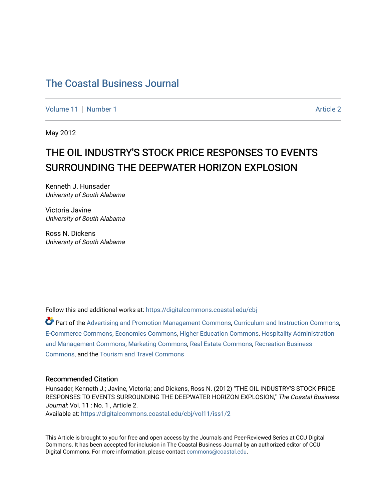[Volume 11](https://digitalcommons.coastal.edu/cbj/vol11) | [Number 1](https://digitalcommons.coastal.edu/cbj/vol11/iss1) [Article 2](https://digitalcommons.coastal.edu/cbj/vol11/iss1/2) Article 2 Article 2 Article 2 Article 2 Article 2 Article 2 Article 2 Article 2

May 2012

## THE OIL INDUSTRY'S STOCK PRICE RESPONSES TO EVENTS SURROUNDING THE DEEPWATER HORIZON EXPLOSION

Kenneth J. Hunsader University of South Alabama

Victoria Javine University of South Alabama

Ross N. Dickens University of South Alabama

Follow this and additional works at: [https://digitalcommons.coastal.edu/cbj](https://digitalcommons.coastal.edu/cbj?utm_source=digitalcommons.coastal.edu%2Fcbj%2Fvol11%2Fiss1%2F2&utm_medium=PDF&utm_campaign=PDFCoverPages) 

Part of the [Advertising and Promotion Management Commons,](http://network.bepress.com/hgg/discipline/626?utm_source=digitalcommons.coastal.edu%2Fcbj%2Fvol11%2Fiss1%2F2&utm_medium=PDF&utm_campaign=PDFCoverPages) [Curriculum and Instruction Commons,](http://network.bepress.com/hgg/discipline/786?utm_source=digitalcommons.coastal.edu%2Fcbj%2Fvol11%2Fiss1%2F2&utm_medium=PDF&utm_campaign=PDFCoverPages) [E-Commerce Commons,](http://network.bepress.com/hgg/discipline/624?utm_source=digitalcommons.coastal.edu%2Fcbj%2Fvol11%2Fiss1%2F2&utm_medium=PDF&utm_campaign=PDFCoverPages) [Economics Commons](http://network.bepress.com/hgg/discipline/340?utm_source=digitalcommons.coastal.edu%2Fcbj%2Fvol11%2Fiss1%2F2&utm_medium=PDF&utm_campaign=PDFCoverPages), [Higher Education Commons](http://network.bepress.com/hgg/discipline/1245?utm_source=digitalcommons.coastal.edu%2Fcbj%2Fvol11%2Fiss1%2F2&utm_medium=PDF&utm_campaign=PDFCoverPages), [Hospitality Administration](http://network.bepress.com/hgg/discipline/632?utm_source=digitalcommons.coastal.edu%2Fcbj%2Fvol11%2Fiss1%2F2&utm_medium=PDF&utm_campaign=PDFCoverPages) [and Management Commons,](http://network.bepress.com/hgg/discipline/632?utm_source=digitalcommons.coastal.edu%2Fcbj%2Fvol11%2Fiss1%2F2&utm_medium=PDF&utm_campaign=PDFCoverPages) [Marketing Commons](http://network.bepress.com/hgg/discipline/638?utm_source=digitalcommons.coastal.edu%2Fcbj%2Fvol11%2Fiss1%2F2&utm_medium=PDF&utm_campaign=PDFCoverPages), [Real Estate Commons](http://network.bepress.com/hgg/discipline/641?utm_source=digitalcommons.coastal.edu%2Fcbj%2Fvol11%2Fiss1%2F2&utm_medium=PDF&utm_campaign=PDFCoverPages), [Recreation Business](http://network.bepress.com/hgg/discipline/1083?utm_source=digitalcommons.coastal.edu%2Fcbj%2Fvol11%2Fiss1%2F2&utm_medium=PDF&utm_campaign=PDFCoverPages) [Commons](http://network.bepress.com/hgg/discipline/1083?utm_source=digitalcommons.coastal.edu%2Fcbj%2Fvol11%2Fiss1%2F2&utm_medium=PDF&utm_campaign=PDFCoverPages), and the [Tourism and Travel Commons](http://network.bepress.com/hgg/discipline/1082?utm_source=digitalcommons.coastal.edu%2Fcbj%2Fvol11%2Fiss1%2F2&utm_medium=PDF&utm_campaign=PDFCoverPages)

#### Recommended Citation

Hunsader, Kenneth J.; Javine, Victoria; and Dickens, Ross N. (2012) "THE OIL INDUSTRY'S STOCK PRICE RESPONSES TO EVENTS SURROUNDING THE DEEPWATER HORIZON EXPLOSION," The Coastal Business Journal: Vol. 11 : No. 1, Article 2.

Available at: [https://digitalcommons.coastal.edu/cbj/vol11/iss1/2](https://digitalcommons.coastal.edu/cbj/vol11/iss1/2?utm_source=digitalcommons.coastal.edu%2Fcbj%2Fvol11%2Fiss1%2F2&utm_medium=PDF&utm_campaign=PDFCoverPages) 

This Article is brought to you for free and open access by the Journals and Peer-Reviewed Series at CCU Digital Commons. It has been accepted for inclusion in The Coastal Business Journal by an authorized editor of CCU Digital Commons. For more information, please contact [commons@coastal.edu](mailto:commons@coastal.edu).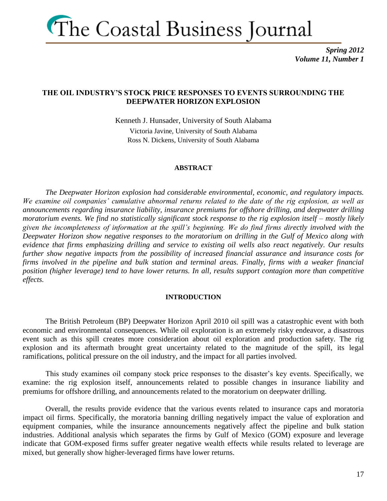

*Spring 2012 Volume 11, Number 1*

### **THE OIL INDUSTRY'S STOCK PRICE RESPONSES TO EVENTS SURROUNDING THE DEEPWATER HORIZON EXPLOSION**

Kenneth J. Hunsader, University of South Alabama Victoria Javine, University of South Alabama Ross N. Dickens, University of South Alabama

#### **ABSTRACT**

*The Deepwater Horizon explosion had considerable environmental, economic, and regulatory impacts. We examine oil companies' cumulative abnormal returns related to the date of the rig explosion, as well as announcements regarding insurance liability, insurance premiums for offshore drilling, and deepwater drilling moratorium events. We find no statistically significant stock response to the rig explosion itself – mostly likely given the incompleteness of information at the spill's beginning. We do find firms directly involved with the Deepwater Horizon show negative responses to the moratorium on drilling in the Gulf of Mexico along with evidence that firms emphasizing drilling and service to existing oil wells also react negatively. Our results further show negative impacts from the possibility of increased financial assurance and insurance costs for firms involved in the pipeline and bulk station and terminal areas. Finally, firms with a weaker financial position (higher leverage) tend to have lower returns. In all, results support contagion more than competitive effects.*

#### **INTRODUCTION**

The British Petroleum (BP) Deepwater Horizon April 2010 oil spill was a catastrophic event with both economic and environmental consequences. While oil exploration is an extremely risky endeavor, a disastrous event such as this spill creates more consideration about oil exploration and production safety. The rig explosion and its aftermath brought great uncertainty related to the magnitude of the spill, its legal ramifications, political pressure on the oil industry, and the impact for all parties involved.

This study examines oil company stock price responses to the disaster's key events. Specifically, we examine: the rig explosion itself, announcements related to possible changes in insurance liability and premiums for offshore drilling, and announcements related to the moratorium on deepwater drilling.

Overall, the results provide evidence that the various events related to insurance caps and moratoria impact oil firms. Specifically, the moratoria banning drilling negatively impact the value of exploration and equipment companies, while the insurance announcements negatively affect the pipeline and bulk station industries. Additional analysis which separates the firms by Gulf of Mexico (GOM) exposure and leverage indicate that GOM-exposed firms suffer greater negative wealth effects while results related to leverage are mixed, but generally show higher-leveraged firms have lower returns.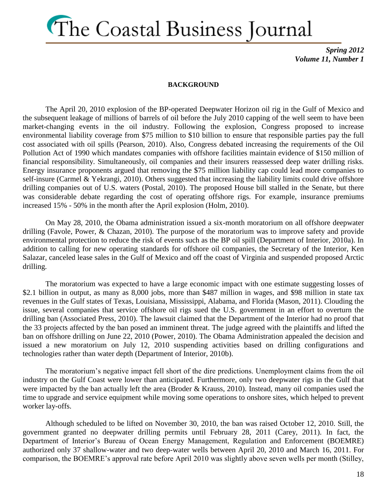*Spring 2012 Volume 11, Number 1*

#### **BACKGROUND**

The April 20, 2010 explosion of the BP-operated Deepwater Horizon oil rig in the Gulf of Mexico and the subsequent leakage of millions of barrels of oil before the July 2010 capping of the well seem to have been market-changing events in the oil industry. Following the explosion, Congress proposed to increase environmental liability coverage from \$75 million to \$10 billion to ensure that responsible parties pay the full cost associated with oil spills (Pearson, 2010). Also, Congress debated increasing the requirements of the Oil Pollution Act of 1990 which mandates companies with offshore facilities maintain evidence of \$150 million of financial responsibility. Simultaneously, oil companies and their insurers reassessed deep water drilling risks. Energy insurance proponents argued that removing the \$75 million liability cap could lead more companies to self-insure (Carmel & Yekrangi, 2010). Others suggested that increasing the liability limits could drive offshore drilling companies out of U.S. waters (Postal, 2010). The proposed House bill stalled in the Senate, but there was considerable debate regarding the cost of operating offshore rigs. For example, insurance premiums increased 15% - 50% in the month after the April explosion (Holm, 2010).

On May 28, 2010, the Obama administration issued a six-month moratorium on all offshore deepwater drilling (Favole, Power, & Chazan, 2010). The purpose of the moratorium was to improve safety and provide environmental protection to reduce the risk of events such as the BP oil spill (Department of Interior, 2010a). In addition to calling for new operating standards for offshore oil companies, the Secretary of the Interior, Ken Salazar, canceled lease sales in the Gulf of Mexico and off the coast of Virginia and suspended proposed Arctic drilling.

The moratorium was expected to have a large economic impact with one estimate suggesting losses of \$2.1 billion in output, as many as 8,000 jobs, more than \$487 million in wages, and \$98 million in state tax revenues in the Gulf states of Texas, Louisiana, Mississippi, Alabama, and Florida (Mason, 2011). Clouding the issue, several companies that service offshore oil rigs sued the U.S. government in an effort to overturn the drilling ban (Associated Press, 2010). The lawsuit claimed that the Department of the Interior had no proof that the 33 projects affected by the ban posed an imminent threat. The judge agreed with the plaintiffs and lifted the ban on offshore drilling on June 22, 2010 (Power, 2010). The Obama Administration appealed the decision and issued a new moratorium on July 12, 2010 suspending activities based on drilling configurations and technologies rather than water depth (Department of Interior, 2010b).

The moratorium's negative impact fell short of the dire predictions. Unemployment claims from the oil industry on the Gulf Coast were lower than anticipated. Furthermore, only two deepwater rigs in the Gulf that were impacted by the ban actually left the area (Broder & Krauss, 2010). Instead, many oil companies used the time to upgrade and service equipment while moving some operations to onshore sites, which helped to prevent worker lay-offs.

Although scheduled to be lifted on November 30, 2010, the ban was raised October 12, 2010. Still, the government granted no deepwater drilling permits until February 28, 2011 (Carey, 2011). In fact, the Department of Interior's Bureau of Ocean Energy Management, Regulation and Enforcement (BOEMRE) authorized only 37 shallow-water and two deep-water wells between April 20, 2010 and March 16, 2011. For comparison, the BOEMRE's approval rate before April 2010 was slightly above seven wells per month (Stilley,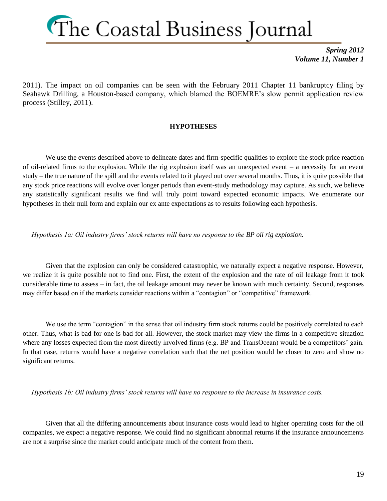

*Spring 2012 Volume 11, Number 1*

2011). The impact on oil companies can be seen with the February 2011 Chapter 11 bankruptcy filing by Seahawk Drilling, a Houston-based company, which blamed the BOEMRE's slow permit application review process (Stilley, 2011).

#### **HYPOTHESES**

We use the events described above to delineate dates and firm-specific qualities to explore the stock price reaction of oil-related firms to the explosion. While the rig explosion itself was an unexpected event – a necessity for an event study – the true nature of the spill and the events related to it played out over several months. Thus, it is quite possible that any stock price reactions will evolve over longer periods than event-study methodology may capture. As such, we believe any statistically significant results we find will truly point toward expected economic impacts. We enumerate our hypotheses in their null form and explain our ex ante expectations as to results following each hypothesis.

*Hypothesis 1a: Oil industry firms' stock returns will have no response to the BP oil rig explosion.* 

Given that the explosion can only be considered catastrophic, we naturally expect a negative response. However, we realize it is quite possible not to find one. First, the extent of the explosion and the rate of oil leakage from it took considerable time to assess – in fact, the oil leakage amount may never be known with much certainty. Second, responses may differ based on if the markets consider reactions within a "contagion" or "competitive" framework.

We use the term "contagion" in the sense that oil industry firm stock returns could be positively correlated to each other. Thus, what is bad for one is bad for all. However, the stock market may view the firms in a competitive situation where any losses expected from the most directly involved firms (e.g. BP and TransOcean) would be a competitors' gain. In that case, returns would have a negative correlation such that the net position would be closer to zero and show no significant returns.

 *Hypothesis 1b: Oil industry firms' stock returns will have no response to the increase in insurance costs.*

Given that all the differing announcements about insurance costs would lead to higher operating costs for the oil companies, we expect a negative response. We could find no significant abnormal returns if the insurance announcements are not a surprise since the market could anticipate much of the content from them.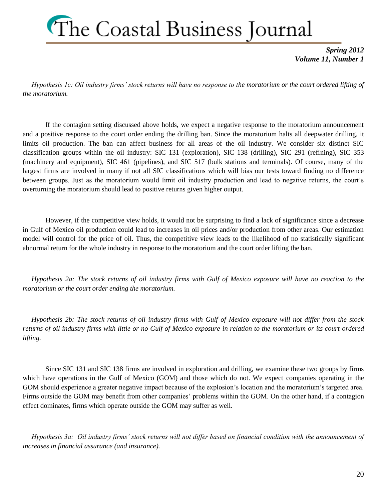

*Spring 2012 Volume 11, Number 1*

 *Hypothesis 1c: Oil industry firms' stock returns will have no response to the moratorium or the court ordered lifting of the moratorium.*

If the contagion setting discussed above holds, we expect a negative response to the moratorium announcement and a positive response to the court order ending the drilling ban. Since the moratorium halts all deepwater drilling, it limits oil production. The ban can affect business for all areas of the oil industry. We consider six distinct SIC classification groups within the oil industry: SIC 131 (exploration), SIC 138 (drilling), SIC 291 (refining), SIC 353 (machinery and equipment), SIC 461 (pipelines), and SIC 517 (bulk stations and terminals). Of course, many of the largest firms are involved in many if not all SIC classifications which will bias our tests toward finding no difference between groups. Just as the moratorium would limit oil industry production and lead to negative returns, the court's overturning the moratorium should lead to positive returns given higher output.

However, if the competitive view holds, it would not be surprising to find a lack of significance since a decrease in Gulf of Mexico oil production could lead to increases in oil prices and/or production from other areas. Our estimation model will control for the price of oil. Thus, the competitive view leads to the likelihood of no statistically significant abnormal return for the whole industry in response to the moratorium and the court order lifting the ban.

 *Hypothesis 2a: The stock returns of oil industry firms with Gulf of Mexico exposure will have no reaction to the moratorium or the court order ending the moratorium.*

 *Hypothesis 2b: The stock returns of oil industry firms with Gulf of Mexico exposure will not differ from the stock returns of oil industry firms with little or no Gulf of Mexico exposure in relation to the moratorium or its court-ordered lifting.*

Since SIC 131 and SIC 138 firms are involved in exploration and drilling, we examine these two groups by firms which have operations in the Gulf of Mexico (GOM) and those which do not. We expect companies operating in the GOM should experience a greater negative impact because of the explosion's location and the moratorium's targeted area. Firms outside the GOM may benefit from other companies' problems within the GOM. On the other hand, if a contagion effect dominates, firms which operate outside the GOM may suffer as well.

 *Hypothesis 3a: Oil industry firms' stock returns will not differ based on financial condition with the announcement of increases in financial assurance (and insurance).*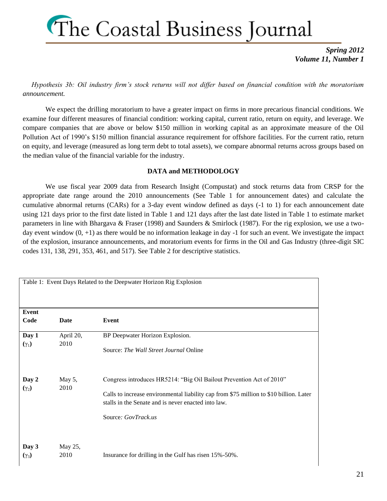*Spring 2012 Volume 11, Number 1*

 *Hypothesis 3b: Oil industry firm's stock returns will not differ based on financial condition with the moratorium announcement.*

We expect the drilling moratorium to have a greater impact on firms in more precarious financial conditions. We examine four different measures of financial condition: working capital, current ratio, return on equity, and leverage. We compare companies that are above or below \$150 million in working capital as an approximate measure of the Oil Pollution Act of 1990's \$150 million financial assurance requirement for offshore facilities. For the current ratio, return on equity, and leverage (measured as long term debt to total assets), we compare abnormal returns across groups based on the median value of the financial variable for the industry.

#### **DATA and METHODOLOGY**

We use fiscal year 2009 data from Research Insight (Compustat) and stock returns data from CRSP for the appropriate date range around the 2010 announcements (See Table 1 for announcement dates) and calculate the cumulative abnormal returns (CARs) for a 3-day event window defined as days (-1 to 1) for each announcement date using 121 days prior to the first date listed in Table 1 and 121 days after the last date listed in Table 1 to estimate market parameters in line with Bhargava & Fraser (1998) and Saunders & Smirlock (1987). For the rig explosion, we use a twoday event window  $(0, +1)$  as there would be no information leakage in day -1 for such an event. We investigate the impact of the explosion, insurance announcements, and moratorium events for firms in the Oil and Gas Industry (three-digit SIC codes 131, 138, 291, 353, 461, and 517). See Table 2 for descriptive statistics.

|                       |                | Table 1: Event Days Related to the Deepwater Horizon Rig Explosion                                                                            |  |  |  |  |
|-----------------------|----------------|-----------------------------------------------------------------------------------------------------------------------------------------------|--|--|--|--|
|                       |                |                                                                                                                                               |  |  |  |  |
| Event                 |                |                                                                                                                                               |  |  |  |  |
| Code                  | Date           | Event                                                                                                                                         |  |  |  |  |
| Day 1                 | April 20,      | BP Deepwater Horizon Explosion.                                                                                                               |  |  |  |  |
| 2010<br>$(\gamma_1)$  |                | Source: The Wall Street Journal Online                                                                                                        |  |  |  |  |
|                       |                |                                                                                                                                               |  |  |  |  |
| Day 2<br>$(\gamma_2)$ | May 5,<br>2010 | Congress introduces HR5214: "Big Oil Bailout Prevention Act of 2010"                                                                          |  |  |  |  |
|                       |                | Calls to increase environmental liability cap from \$75 million to \$10 billion. Later<br>stalls in the Senate and is never enacted into law. |  |  |  |  |
|                       |                | Source: GovTrack.us                                                                                                                           |  |  |  |  |
|                       |                |                                                                                                                                               |  |  |  |  |
| Day 3                 | May 25,        |                                                                                                                                               |  |  |  |  |
| $(\gamma_3)$          | 2010           | Insurance for drilling in the Gulf has risen 15%-50%.                                                                                         |  |  |  |  |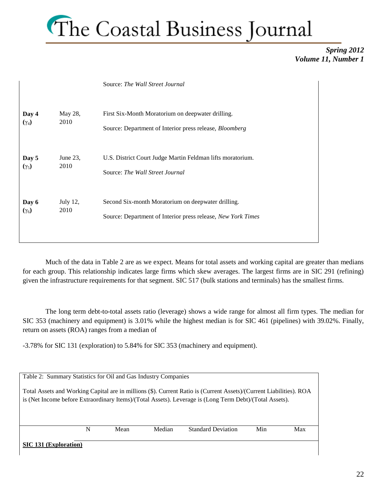*Spring 2012 Volume 11, Number 1*

|              |          | Source: The Wall Street Journal                              |
|--------------|----------|--------------------------------------------------------------|
| Day 4        | May 28,  | First Six-Month Moratorium on deepwater drilling.            |
| $(\gamma_4)$ | 2010     | Source: Department of Interior press release, Bloomberg      |
| Day 5        | June 23, | U.S. District Court Judge Martin Feldman lifts moratorium.   |
| $(\gamma_5)$ | 2010     | Source: The Wall Street Journal                              |
| Day 6        | July 12, | Second Six-month Moratorium on deepwater drilling.           |
| $(\gamma_6)$ | 2010     | Source: Department of Interior press release, New York Times |

Much of the data in Table 2 are as we expect. Means for total assets and working capital are greater than medians for each group. This relationship indicates large firms which skew averages. The largest firms are in SIC 291 (refining) given the infrastructure requirements for that segment. SIC 517 (bulk stations and terminals) has the smallest firms.

The long term debt-to-total assets ratio (leverage) shows a wide range for almost all firm types. The median for SIC 353 (machinery and equipment) is 3.01% while the highest median is for SIC 461 (pipelines) with 39.02%. Finally, return on assets (ROA) ranges from a median of

-3.78% for SIC 131 (exploration) to 5.84% for SIC 353 (machinery and equipment).

| Table 2: Summary Statistics for Oil and Gas Industry Companies                                                                                                                                                                 |   |      |        |                           |     |     |
|--------------------------------------------------------------------------------------------------------------------------------------------------------------------------------------------------------------------------------|---|------|--------|---------------------------|-----|-----|
| Total Assets and Working Capital are in millions (\$). Current Ratio is (Current Assets)/(Current Liabilities). ROA<br>is (Net Income before Extraordinary Items)/(Total Assets). Leverage is (Long Term Debt)/(Total Assets). |   |      |        |                           |     |     |
|                                                                                                                                                                                                                                | N | Mean | Median | <b>Standard Deviation</b> | Min | Max |
| <b>SIC 131 (Exploration)</b>                                                                                                                                                                                                   |   |      |        |                           |     |     |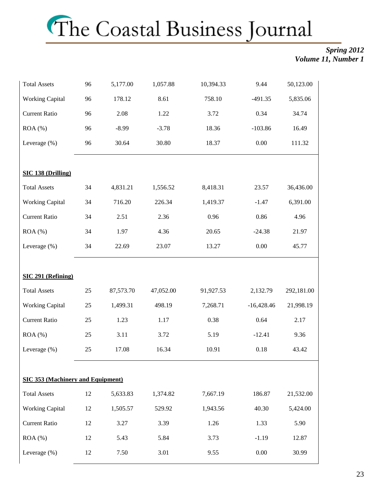### *Spring 2012 Volume 11, Number 1*

| <b>Total Assets</b>                      | 96 | 5,177.00  | 1,057.88  | 10,394.33 | 9.44         | 50,123.00  |
|------------------------------------------|----|-----------|-----------|-----------|--------------|------------|
| <b>Working Capital</b>                   | 96 | 178.12    | 8.61      | 758.10    | $-491.35$    | 5,835.06   |
| <b>Current Ratio</b>                     | 96 | 2.08      | 1.22      | 3.72      | 0.34         | 34.74      |
| $ROA$ $%$                                | 96 | $-8.99$   | $-3.78$   | 18.36     | $-103.86$    | 16.49      |
| Leverage (%)                             | 96 | 30.64     | 30.80     | 18.37     | 0.00         | 111.32     |
|                                          |    |           |           |           |              |            |
| <b>SIC 138 (Drilling)</b>                |    |           |           |           |              |            |
| <b>Total Assets</b>                      | 34 | 4,831.21  | 1,556.52  | 8,418.31  | 23.57        | 36,436.00  |
| <b>Working Capital</b>                   | 34 | 716.20    | 226.34    | 1,419.37  | $-1.47$      | 6,391.00   |
| <b>Current Ratio</b>                     | 34 | 2.51      | 2.36      | 0.96      | 0.86         | 4.96       |
| $ROA$ $(\%)$                             | 34 | 1.97      | 4.36      | 20.65     | $-24.38$     | 21.97      |
| Leverage (%)                             | 34 | 22.69     | 23.07     | 13.27     | 0.00         | 45.77      |
|                                          |    |           |           |           |              |            |
| SIC 291 (Refining)                       |    |           |           |           |              |            |
| <b>Total Assets</b>                      | 25 | 87,573.70 | 47,052.00 | 91,927.53 | 2,132.79     | 292,181.00 |
| <b>Working Capital</b>                   | 25 | 1,499.31  | 498.19    | 7,268.71  | $-16,428.46$ | 21,998.19  |
| <b>Current Ratio</b>                     | 25 | 1.23      | 1.17      | 0.38      | 0.64         | 2.17       |
| $ROA$ $(\%)$                             | 25 | 3.11      | 3.72      | 5.19      | $-12.41$     | 9.36       |
| Leverage (%)                             | 25 | 17.08     | 16.34     | 10.91     | 0.18         | 43.42      |
|                                          |    |           |           |           |              |            |
| <b>SIC 353 (Machinery and Equipment)</b> |    |           |           |           |              |            |
| <b>Total Assets</b>                      | 12 | 5,633.83  | 1,374.82  | 7,667.19  | 186.87       | 21,532.00  |
| <b>Working Capital</b>                   | 12 | 1,505.57  | 529.92    | 1,943.56  | 40.30        | 5,424.00   |
| <b>Current Ratio</b>                     | 12 | 3.27      | 3.39      | 1.26      | 1.33         | 5.90       |
| $ROA$ $%$                                | 12 | 5.43      | 5.84      | 3.73      | $-1.19$      | 12.87      |
| Leverage $(\%)$                          | 12 | 7.50      | 3.01      | 9.55      | $0.00\,$     | 30.99      |
|                                          |    |           |           |           |              |            |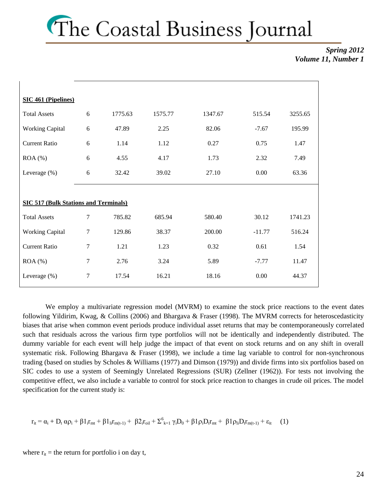*Spring 2012 Volume 11, Number 1*

| <b>SIC 461 (Pipelines)</b>                   |                |         |         |         |          |         |
|----------------------------------------------|----------------|---------|---------|---------|----------|---------|
| <b>Total Assets</b>                          | 6              | 1775.63 | 1575.77 | 1347.67 | 515.54   | 3255.65 |
| <b>Working Capital</b>                       | 6              | 47.89   | 2.25    | 82.06   | $-7.67$  | 195.99  |
| <b>Current Ratio</b>                         | 6              | 1.14    | 1.12    | 0.27    | 0.75     | 1.47    |
| $ROA$ $%$                                    | 6              | 4.55    | 4.17    | 1.73    | 2.32     | 7.49    |
| Leverage $(\%)$                              | 6              | 32.42   | 39.02   | 27.10   | 0.00     | 63.36   |
|                                              |                |         |         |         |          |         |
| <b>SIC 517 (Bulk Stations and Terminals)</b> |                |         |         |         |          |         |
| <b>Total Assets</b>                          | 7              | 785.82  | 685.94  | 580.40  | 30.12    | 1741.23 |
| <b>Working Capital</b>                       | $\tau$         | 129.86  | 38.37   | 200.00  | $-11.77$ | 516.24  |
| <b>Current Ratio</b>                         | $\overline{7}$ | 1.21    | 1.23    | 0.32    | 0.61     | 1.54    |
| $ROA$ $%$                                    | 7              | 2.76    | 3.24    | 5.89    | $-7.77$  | 11.47   |
| Leverage $(\%)$                              | 7              | 17.54   | 16.21   | 18.16   | 0.00     | 44.37   |

We employ a multivariate regression model (MVRM) to examine the stock price reactions to the event dates following Yildirim, Kwag, & Collins (2006) and Bhargava & Fraser (1998). The MVRM corrects for heteroscedasticity biases that arise when common event periods produce individual asset returns that may be contemporaneously correlated such that residuals across the various firm type portfolios will not be identically and independently distributed. The dummy variable for each event will help judge the impact of that event on stock returns and on any shift in overall systematic risk. Following Bhargava & Fraser (1998), we include a time lag variable to control for non-synchronous trading (based on studies by Scholes & Williams (1977) and Dimson (1979)) and divide firms into six portfolios based on SIC codes to use a system of Seemingly Unrelated Regressions (SUR) (Zellner (1962)). For tests not involving the competitive effect, we also include a variable to control for stock price reaction to changes in crude oil prices. The model specification for the current study is:

$$
r_{it}=\alpha_i+D_t\ \alpha\rho_i+\beta1_ir_{mt}+\beta1_{li}r_{m(t-1)}+\ \beta2_ir_{oil}+\Sigma^6{}_{k=1}\ \gamma_iD_0+\beta1\rho_iD_tr_{mt}+\ \beta1\rho_{li}D_tr_{m(t-1)}+\epsilon_{it} \qquad (1)
$$

where  $r_{it}$  = the return for portfolio i on day t,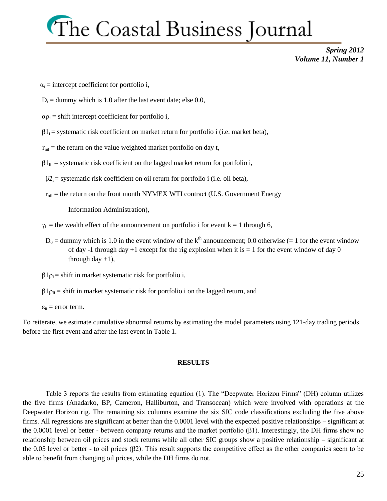*Spring 2012 Volume 11, Number 1*

 $\alpha_i$  = intercept coefficient for portfolio i,

 $D_t$  = dummy which is 1.0 after the last event date; else 0.0,

 $\alpha \rho_i$  = shift intercept coefficient for portfolio i,

 $\beta_1$  = systematic risk coefficient on market return for portfolio i (i.e. market beta),

 $r_{mt}$  = the return on the value weighted market portfolio on day t,

 $\beta_1$ <sub>li</sub> = systematic risk coefficient on the lagged market return for portfolio i,

 $\beta2_i$  = systematic risk coefficient on oil return for portfolio i (i.e. oil beta),

 $r_{oil}$  = the return on the front month NYMEX WTI contract (U.S. Government Energy

Information Administration),

 $\gamma_i$  = the wealth effect of the announcement on portfolio i for event k = 1 through 6,

 $D_0 =$  dummy which is 1.0 in the event window of the k<sup>th</sup> announcement; 0.0 otherwise (= 1 for the event window of day -1 through day +1 except for the rig explosion when it is  $= 1$  for the event window of day 0 through day  $+1$ ),

 $\beta 1 \rho_i$  = shift in market systematic risk for portfolio i,

 $\beta 1 \rho_{ii}$  = shift in market systematic risk for portfolio i on the lagged return, and

 $\varepsilon_{it}$  = error term.

To reiterate, we estimate cumulative abnormal returns by estimating the model parameters using 121-day trading periods before the first event and after the last event in Table 1.

#### **RESULTS**

Table 3 reports the results from estimating equation (1). The "Deepwater Horizon Firms" (DH) column utilizes the five firms (Anadarko, BP, Cameron, Halliburton, and Transocean) which were involved with operations at the Deepwater Horizon rig. The remaining six columns examine the six SIC code classifications excluding the five above firms. All regressions are significant at better than the 0.0001 level with the expected positive relationships – significant at the 0.0001 level or better - between company returns and the market portfolio (β1). Interestingly, the DH firms show no relationship between oil prices and stock returns while all other SIC groups show a positive relationship – significant at the 0.05 level or better - to oil prices (β2). This result supports the competitive effect as the other companies seem to be able to benefit from changing oil prices, while the DH firms do not.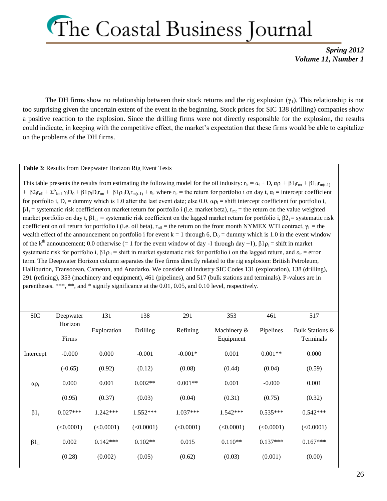*Spring 2012 Volume 11, Number 1*

The DH firms show no relationship between their stock returns and the rig explosion  $(\gamma_1)$ . This relationship is not too surprising given the uncertain extent of the event in the beginning. Stock prices for SIC 138 (drilling) companies show a positive reaction to the explosion. Since the drilling firms were not directly responsible for the explosion, the results could indicate, in keeping with the competitive effect, the market's expectation that these firms would be able to capitalize on the problems of the DH firms.

**Table 3**: Results from Deepwater Horizon Rig Event Tests

This table presents the results from estimating the following model for the oil industry:  $r_{it} = \alpha_i + D_t \alpha p_i + \beta 1_{i}r_{mt} + \beta 1_{i}r_{mt-1}$ +  $\beta 2_i r_{oil} + \sum_{k=1}^{6} \gamma_i D_0 + \beta 1 \rho_i D_t r_{m} + \beta 1 \rho_i D_t r_{m(t-1)} + \varepsilon_{it}$  where  $r_{it}$  = the return for portfolio i on day t,  $\alpha_i$  = intercept coefficient for portfolio i,  $D_t$  = dummy which is 1.0 after the last event date; else 0.0,  $\alpha \rho_i$  = shift intercept coefficient for portfolio i,  $\beta l_i$  = systematic risk coefficient on market return for portfolio i (i.e. market beta),  $r_{mt}$  = the return on the value weighted market portfolio on day t,  $\beta_1$ <sub>li</sub> = systematic risk coefficient on the lagged market return for portfolio i,  $\beta_2$ <sub>i</sub> = systematic risk coefficient on oil return for portfolio i (i.e. oil beta),  $r_{oil}$  = the return on the front month NYMEX WTI contract,  $\gamma_i$  = the wealth effect of the announcement on portfolio i for event  $k = 1$  through 6,  $D_0 =$  dummy which is 1.0 in the event window of the k<sup>th</sup> announcement; 0.0 otherwise (= 1 for the event window of day -1 through day +1),  $\beta 1 \rho_i$  = shift in market systematic risk for portfolio i,  $\beta \log_{10} = \text{shift}$  in market systematic risk for portfolio i on the lagged return, and  $\varepsilon_{it} =$  error term. The Deepwater Horizon column separates the five firms directly related to the rig explosion: British Petroleum, Halliburton, Transocean, Cameron, and Anadarko. We consider oil industry SIC Codes 131 (exploration), 138 (drilling), 291 (refining), 353 (machinery and equipment), 461 (pipelines), and 517 (bulk stations and terminals). P-values are in parentheses. \*\*\*, \*\*, and \* signify significance at the 0.01, 0.05, and 0.10 level, respectively.

| <b>SIC</b>      | Deepwater        | 131         | 138        | 291        | 353                      | 461        | 517                          |
|-----------------|------------------|-------------|------------|------------|--------------------------|------------|------------------------------|
|                 | Horizon<br>Firms | Exploration | Drilling   | Refining   | Machinery &<br>Equipment | Pipelines  | Bulk Stations &<br>Terminals |
|                 |                  |             |            |            |                          |            |                              |
| Intercept       | $-0.000$         | 0.000       | $-0.001$   | $-0.001*$  | 0.001                    | $0.001**$  | 0.000                        |
|                 | $(-0.65)$        | (0.92)      | (0.12)     | (0.08)     | (0.44)                   | (0.04)     | (0.59)                       |
| $\alpha \rho_i$ | 0.000            | 0.001       | $0.002**$  | $0.001**$  | 0.001                    | $-0.000$   | 0.001                        |
|                 | (0.95)           | (0.37)      | (0.03)     | (0.04)     | (0.31)                   | (0.75)     | (0.32)                       |
| $\beta1_i$      | $0.027***$       | $1.242***$  | $1.552***$ | $1.037***$ | $1.542***$               | $0.535***$ | $0.542***$                   |
|                 | (<0.0001)        | (<0.0001)   | (<0.0001)  | (<0.0001)  | (<0.0001)                | (<0.0001)  | (<0.0001)                    |
| $\beta1_{1i}$   | 0.002            | $0.142***$  | $0.102**$  | 0.015      | $0.110**$                | $0.137***$ | $0.167***$                   |
|                 | (0.28)           | (0.002)     | (0.05)     | (0.62)     | (0.03)                   | (0.001)    | (0.00)                       |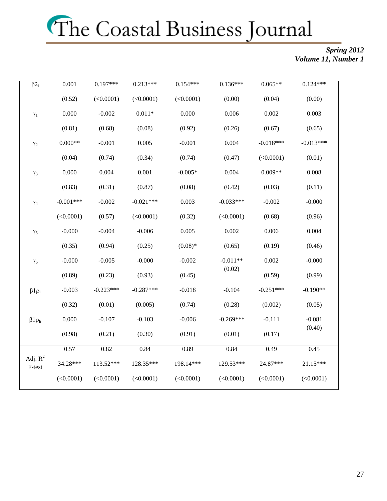### *Spring 2012 Volume 11, Number 1*

| $\beta2_i$           | 0.001       | $0.197***$  | $0.213***$  | $0.154***$ | $0.136***$  | $0.065**$   | $0.124***$  |
|----------------------|-------------|-------------|-------------|------------|-------------|-------------|-------------|
|                      | (0.52)      | (<0.0001)   | (<0.0001)   | (<0.0001)  | (0.00)      | (0.04)      | (0.00)      |
| $\gamma_1$           | 0.000       | $-0.002$    | $0.011*$    | 0.000      | 0.006       | 0.002       | 0.003       |
|                      | (0.81)      | (0.68)      | (0.08)      | (0.92)     | (0.26)      | (0.67)      | (0.65)      |
| $\gamma_2$           | $0.000**$   | $-0.001$    | 0.005       | $-0.001$   | 0.004       | $-0.018***$ | $-0.013***$ |
|                      | (0.04)      | (0.74)      | (0.34)      | (0.74)     | (0.47)      | (<0.0001)   | (0.01)      |
| $\gamma_3$           | 0.000       | 0.004       | 0.001       | $-0.005*$  | 0.004       | $0.009**$   | 0.008       |
|                      | (0.83)      | (0.31)      | (0.87)      | (0.08)     | (0.42)      | (0.03)      | (0.11)      |
| $\gamma_4$           | $-0.001***$ | $-0.002$    | $-0.021***$ | 0.003      | $-0.033***$ | $-0.002$    | $-0.000$    |
|                      | (<0.0001)   | (0.57)      | (<0.0001)   | (0.32)     | (<0.0001)   | (0.68)      | (0.96)      |
| $\gamma_5$           | $-0.000$    | $-0.004$    | $-0.006$    | 0.005      | 0.002       | 0.006       | 0.004       |
|                      | (0.35)      | (0.94)      | (0.25)      | $(0.08)*$  | (0.65)      | (0.19)      | (0.46)      |
| $\gamma_6$           | $-0.000$    | $-0.005$    | $-0.000$    | $-0.002$   | $-0.011**$  | 0.002       | $-0.000$    |
|                      | (0.89)      | (0.23)      | (0.93)      | (0.45)     | (0.02)      | (0.59)      | (0.99)      |
| $\beta 1 \rho_i$     | $-0.003$    | $-0.223***$ | $-0.287***$ | $-0.018$   | $-0.104$    | $-0.251***$ | $-0.190**$  |
|                      | (0.32)      | (0.01)      | (0.005)     | (0.74)     | (0.28)      | (0.002)     | (0.05)      |
| $\beta 1 \rho_{li}$  | 0.000       | $-0.107$    | $-0.103$    | $-0.006$   | $-0.269***$ | $-0.111$    | $-0.081$    |
|                      | (0.98)      | (0.21)      | (0.30)      | (0.91)     | (0.01)      | (0.17)      | (0.40)      |
|                      | 0.57        | 0.82        | 0.84        | 0.89       | 0.84        | 0.49        | 0.45        |
| Adj. $R^2$<br>F-test | 34.28***    | 113.52***   | 128.35***   | 198.14***  | 129.53***   | 24.87***    | 21.15***    |
|                      | (<0.0001)   | (<0.0001)   | (<0.0001)   | (<0.0001)  | (<0.0001)   | (<0.0001)   | (<0.0001)   |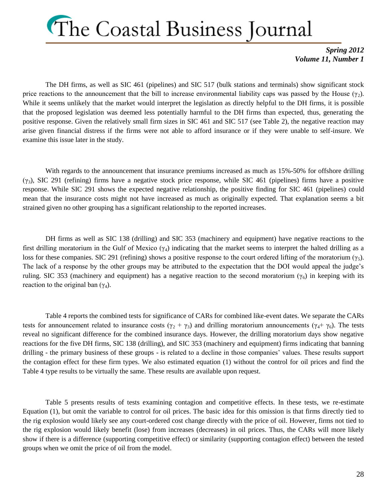*Spring 2012 Volume 11, Number 1*

The DH firms, as well as SIC 461 (pipelines) and SIC 517 (bulk stations and terminals) show significant stock price reactions to the announcement that the bill to increase environmental liability caps was passed by the House  $(\gamma_2)$ . While it seems unlikely that the market would interpret the legislation as directly helpful to the DH firms, it is possible that the proposed legislation was deemed less potentially harmful to the DH firms than expected, thus, generating the positive response. Given the relatively small firm sizes in SIC 461 and SIC 517 (see Table 2), the negative reaction may arise given financial distress if the firms were not able to afford insurance or if they were unable to self-insure. We examine this issue later in the study.

With regards to the announcement that insurance premiums increased as much as  $15\% - 50\%$  for offshore drilling  $(\gamma_3)$ , SIC 291 (refining) firms have a negative stock price response, while SIC 461 (pipelines) firms have a positive response. While SIC 291 shows the expected negative relationship, the positive finding for SIC 461 (pipelines) could mean that the insurance costs might not have increased as much as originally expected. That explanation seems a bit strained given no other grouping has a significant relationship to the reported increases.

DH firms as well as SIC 138 (drilling) and SIC 353 (machinery and equipment) have negative reactions to the first drilling moratorium in the Gulf of Mexico  $(\gamma_4)$  indicating that the market seems to interpret the halted drilling as a loss for these companies. SIC 291 (refining) shows a positive response to the court ordered lifting of the moratorium ( $\gamma_5$ ). The lack of a response by the other groups may be attributed to the expectation that the DOI would appeal the judge's ruling. SIC 353 (machinery and equipment) has a negative reaction to the second moratorium ( $\gamma_6$ ) in keeping with its reaction to the original ban  $(\gamma_4)$ .

Table 4 reports the combined tests for significance of CARs for combined like-event dates. We separate the CARs tests for announcement related to insurance costs ( $\gamma_2 + \gamma_3$ ) and drilling moratorium announcements ( $\gamma_4 + \gamma_6$ ). The tests reveal no significant difference for the combined insurance days. However, the drilling moratorium days show negative reactions for the five DH firms, SIC 138 (drilling), and SIC 353 (machinery and equipment) firms indicating that banning drilling - the primary business of these groups - is related to a decline in those companies' values. These results support the contagion effect for these firm types. We also estimated equation (1) without the control for oil prices and find the Table 4 type results to be virtually the same. These results are available upon request.

Table 5 presents results of tests examining contagion and competitive effects. In these tests, we re-estimate Equation (1), but omit the variable to control for oil prices. The basic idea for this omission is that firms directly tied to the rig explosion would likely see any court-ordered cost change directly with the price of oil. However, firms not tied to the rig explosion would likely benefit (lose) from increases (decreases) in oil prices. Thus, the CARs will more likely show if there is a difference (supporting competitive effect) or similarity (supporting contagion effect) between the tested groups when we omit the price of oil from the model.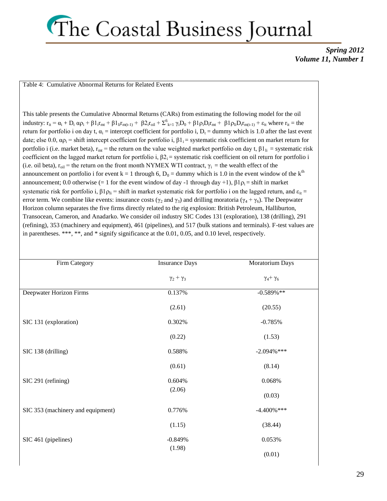*Spring 2012 Volume 11, Number 1*

Table 4: Cumulative Abnormal Returns for Related Events

This table presents the Cumulative Abnormal Returns (CARs) from estimating the following model for the oil industry:  $r_{it} = \alpha_i + D_t \alpha \rho_i + \beta l_i r_{mt} + \beta l_{li} r_{m(t-1)} + \beta 2_i r_{oil} + \sum_{k=1}^{6} \gamma_i D_0 + \beta l \rho_i D_t r_{mt} + \beta l \rho_i D_t r_{m(t-1)} + \varepsilon_{it}$  where  $r_{it} =$  the return for portfolio i on day t,  $\alpha_i$  = intercept coefficient for portfolio i,  $D_i$  = dummy which is 1.0 after the last event date; else 0.0,  $\alpha_{\text{Di}}$  = shift intercept coefficient for portfolio i,  $\beta_{1}$  = systematic risk coefficient on market return for portfolio i (i.e. market beta),  $r_{mt}$  = the return on the value weighted market portfolio on day t,  $\beta l_{li}$  = systematic risk coefficient on the lagged market return for portfolio i,  $\beta2_i$  = systematic risk coefficient on oil return for portfolio i (i.e. oil beta),  $r_{\text{oil}}$  = the return on the front month NYMEX WTI contract,  $\gamma_i$  = the wealth effect of the announcement on portfolio i for event  $k = 1$  through 6,  $D_0 =$  dummy which is 1.0 in the event window of the  $k<sup>th</sup>$ announcement; 0.0 otherwise (= 1 for the event window of day -1 through day +1),  $\beta_1 \rho_i = \text{shift in market}$ systematic risk for portfolio i,  $\beta_1 \rho_{ii} = \text{shift}$  in market systematic risk for portfolio i on the lagged return, and  $\varepsilon_{ii} =$ error term. We combine like events: insurance costs ( $\gamma_2$  and  $\gamma_3$ ) and drilling moratoria ( $\gamma_4 + \gamma_6$ ). The Deepwater Horizon column separates the five firms directly related to the rig explosion: British Petroleum, Halliburton, Transocean, Cameron, and Anadarko. We consider oil industry SIC Codes 131 (exploration), 138 (drilling), 291 (refining), 353 (machinery and equipment), 461 (pipelines), and 517 (bulk stations and terminals). F-test values are in parentheses. \*\*\*, \*\*, and \* signify significance at the 0.01, 0.05, and 0.10 level, respectively.

| Firm Category                     | <b>Insurance Days</b> | Moratorium Days       |
|-----------------------------------|-----------------------|-----------------------|
|                                   | $\gamma_2 + \gamma_3$ | $\gamma_4 + \gamma_6$ |
| Deepwater Horizon Firms           | 0.137%                | $-0.589\%**$          |
|                                   | (2.61)                | (20.55)               |
| SIC 131 (exploration)             | 0.302%                | $-0.785%$             |
|                                   | (0.22)                | (1.53)                |
| SIC 138 (drilling)                | 0.588%                | $-2.094\%$ ***        |
|                                   | (0.61)                | (8.14)                |
| SIC 291 (refining)                | 0.604%                | 0.068%                |
|                                   | (2.06)                | (0.03)                |
| SIC 353 (machinery and equipment) | 0.776%                | $-4.400\%$ ***        |
|                                   | (1.15)                | (38.44)               |
| SIC 461 (pipelines)               | $-0.849%$             | 0.053%                |
|                                   | (1.98)                | (0.01)                |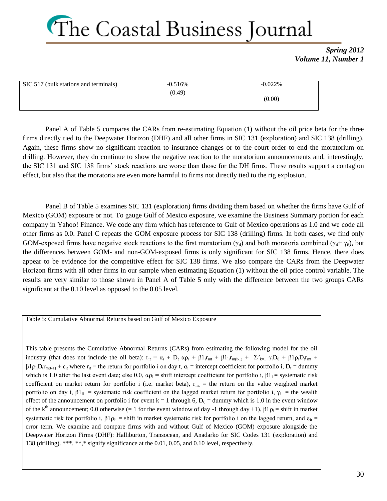### *Spring 2012 Volume 11, Number 1*

| SIC 517 (bulk stations and terminals) | $-0.516%$ | $-0.022\%$ |
|---------------------------------------|-----------|------------|
|                                       | (0.49)    | (0.00)     |

Panel A of Table 5 compares the CARs from re-estimating Equation (1) without the oil price beta for the three firms directly tied to the Deepwater Horizon (DHF) and all other firms in SIC 131 (exploration) and SIC 138 (drilling). Again, these firms show no significant reaction to insurance changes or to the court order to end the moratorium on drilling. However, they do continue to show the negative reaction to the moratorium announcements and, interestingly, the SIC 131 and SIC 138 firms' stock reactions are worse than those for the DH firms. These results support a contagion effect, but also that the moratoria are even more harmful to firms not directly tied to the rig explosion.

Panel B of Table 5 examines SIC 131 (exploration) firms dividing them based on whether the firms have Gulf of Mexico (GOM) exposure or not. To gauge Gulf of Mexico exposure, we examine the Business Summary portion for each company in Yahoo! Finance. We code any firm which has reference to Gulf of Mexico operations as 1.0 and we code all other firms as 0.0. Panel C repeats the GOM exposure process for SIC 138 (drilling) firms. In both cases, we find only GOM-exposed firms have negative stock reactions to the first moratorium ( $\gamma_4$ ) and both moratoria combined ( $\gamma_4 + \gamma_6$ ), but the differences between GOM- and non-GOM-exposed firms is only significant for SIC 138 firms. Hence, there does appear to be evidence for the competitive effect for SIC 138 firms. We also compare the CARs from the Deepwater Horizon firms with all other firms in our sample when estimating Equation (1) without the oil price control variable. The results are very similar to those shown in Panel A of Table 5 only with the difference between the two groups CARs significant at the 0.10 level as opposed to the 0.05 level.

Table 5: Cumulative Abnormal Returns based on Gulf of Mexico Exposure

This table presents the Cumulative Abnormal Returns (CARs) from estimating the following model for the oil industry (that does not include the oil beta):  $r_{it} = \alpha_i + D_t \alpha \rho_i + \beta l_i r_{mt} + \beta l_{li} r_{mt^{(t-1)}} + \sum_{k=1}^{6} \gamma_i D_0 + \beta l \rho_i D_t r_{mt} +$  $\beta_1 \rho_{li} D_t r_{m(t-1)} + \varepsilon_{li}$  where  $r_{it}$  = the return for portfolio i on day t,  $\alpha_i$  = intercept coefficient for portfolio i,  $D_t$  = dummy which is 1.0 after the last event date; else 0.0,  $\alpha \rho_i$  = shift intercept coefficient for portfolio i,  $\beta l_i$  = systematic risk coefficient on market return for portfolio i (i.e. market beta),  $r_{mt}$  = the return on the value weighted market portfolio on day t,  $\beta l_{li}$  = systematic risk coefficient on the lagged market return for portfolio i,  $\gamma_i$  = the wealth effect of the announcement on portfolio i for event  $k = 1$  through 6,  $D_0 =$  dummy which is 1.0 in the event window of the k<sup>th</sup> announcement; 0.0 otherwise (= 1 for the event window of day -1 through day +1),  $\beta_1 \rho_i = \text{shift in market}$ systematic risk for portfolio i,  $\beta 1 \rho_{ii} = \text{shift}$  in market systematic risk for portfolio i on the lagged return, and  $\varepsilon_{ii} =$ error term. We examine and compare firms with and without Gulf of Mexico (GOM) exposure alongside the Deepwater Horizon Firms (DHF): Halliburton, Transocean, and Anadarko for SIC Codes 131 (exploration) and 138 (drilling). \*\*\*, \*\*,\* signify significance at the 0.01, 0.05, and 0.10 level, respectively.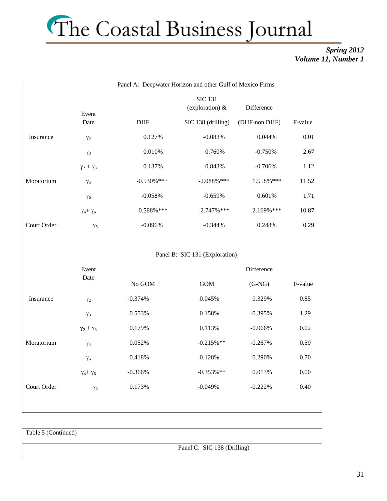### *Spring 2012 Volume 11, Number 1*

|             | Panel A: Deepwater Horizon and other Gulf of Mexico Firms |                |                                                         |                             |         |  |
|-------------|-----------------------------------------------------------|----------------|---------------------------------------------------------|-----------------------------|---------|--|
|             | Event<br>Date                                             | <b>DHF</b>     | <b>SIC 131</b><br>(exploration) &<br>SIC 138 (drilling) | Difference<br>(DHF-non DHF) | F-value |  |
| Insurance   | $\gamma_2$                                                | 0.127%         | $-0.083%$                                               | 0.044%                      | 0.01    |  |
|             | $\gamma_3$                                                | 0.010%         | 0.760%                                                  | $-0.750%$                   | 2.67    |  |
|             | $\gamma_2 + \gamma_3$                                     | 0.137%         | 0.843%                                                  | $-0.706%$                   | 1.12    |  |
| Moratorium  | $\gamma_4$                                                | $-0.530\%$ *** | $-2.088\%$ ***                                          | 1.558%***                   | 11.52   |  |
|             | $\gamma_6$                                                | $-0.058%$      | $-0.659%$                                               | 0.601%                      | 1.71    |  |
|             | $\gamma_4 + \gamma_6$                                     | $-0.588\%$ *** | $-2.747\%$ ***                                          | 2.169%***                   | 10.87   |  |
| Court Order | $\gamma_5$                                                | $-0.096%$      | $-0.344%$                                               | 0.248%                      | 0.29    |  |
|             | Event                                                     |                | Panel B: SIC 131 (Exploration)                          | Difference                  |         |  |
|             | Date                                                      | No GOM         | GOM                                                     | $(G-NG)$                    | F-value |  |
| Insurance   | $\gamma_2$                                                | $-0.374%$      | $-0.045%$                                               | 0.329%                      | 0.85    |  |
|             | $\gamma_3$                                                | 0.553%         | 0.158%                                                  | $-0.395%$                   | 1.29    |  |
|             | $\gamma_2 + \gamma_3$                                     | 0.179%         | 0.113%                                                  | $-0.066%$                   | 0.02    |  |
| Moratorium  | $\gamma_4$                                                | 0.052%         | $-0.215\%$ **                                           | $-0.267%$                   | 0.59    |  |
|             | $\gamma_6$                                                | $-0.418%$      | $-0.128%$                                               | 0.290%                      | 0.70    |  |
|             | $\gamma_4 + \gamma_6$                                     | $-0.366%$      | $-0.353\%**$                                            | 0.013%                      | 0.00    |  |
| Court Order | $\gamma_5$                                                | 0.173%         | $-0.049%$                                               | $-0.222%$                   | 0.40    |  |
|             |                                                           |                |                                                         |                             |         |  |

Table 5 (Continued)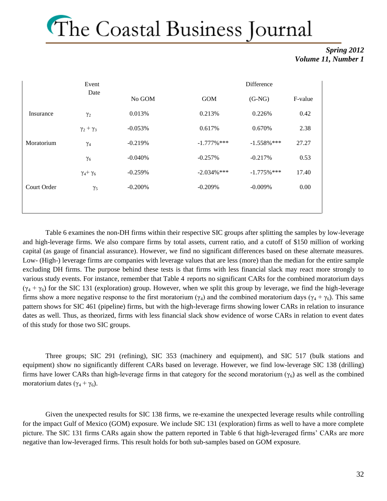### *Spring 2012 Volume 11, Number 1*

|             | Event                 | Difference |                |                |         |  |
|-------------|-----------------------|------------|----------------|----------------|---------|--|
|             | Date                  | No GOM     | GOM            | $(G-NG)$       | F-value |  |
| Insurance   | $\gamma_2$            | 0.013%     | 0.213%         | 0.226%         | 0.42    |  |
|             | $\gamma_2 + \gamma_3$ | $-0.053%$  | 0.617%         | 0.670%         | 2.38    |  |
| Moratorium  | $\gamma_4$            | $-0.219%$  | $-1.777\%$ *** | $-1.558\%$ *** | 27.27   |  |
|             | $\gamma_6$            | $-0.040%$  | $-0.257%$      | $-0.217%$      | 0.53    |  |
|             | $\gamma_4 + \gamma_6$ | $-0.259%$  | $-2.034\%$ *** | $-1.775%$ ***  | 17.40   |  |
| Court Order | $\gamma_5$            | $-0.200%$  | $-0.209%$      | $-0.009%$      | 0.00    |  |
|             |                       |            |                |                |         |  |

Table 6 examines the non-DH firms within their respective SIC groups after splitting the samples by low-leverage and high-leverage firms. We also compare firms by total assets, current ratio, and a cutoff of \$150 million of working capital (as gauge of financial assurance). However, we find no significant differences based on these alternate measures. Low- (High-) leverage firms are companies with leverage values that are less (more) than the median for the entire sample excluding DH firms. The purpose behind these tests is that firms with less financial slack may react more strongly to various study events. For instance, remember that Table 4 reports no significant CARs for the combined moratorium days  $(\gamma_4 + \gamma_6)$  for the SIC 131 (exploration) group. However, when we split this group by leverage, we find the high-leverage firms show a more negative response to the first moratorium ( $\gamma_4$ ) and the combined moratorium days ( $\gamma_4 + \gamma_6$ ). This same pattern shows for SIC 461 (pipeline) firms, but with the high-leverage firms showing lower CARs in relation to insurance dates as well. Thus, as theorized, firms with less financial slack show evidence of worse CARs in relation to event dates of this study for those two SIC groups.

Three groups; SIC 291 (refining), SIC 353 (machinery and equipment), and SIC 517 (bulk stations and equipment) show no significantly different CARs based on leverage. However, we find low-leverage SIC 138 (drilling) firms have lower CARs than high-leverage firms in that category for the second moratorium ( $\gamma_6$ ) as well as the combined moratorium dates (γ<sub>4</sub> + γ<sub>6</sub>).

Given the unexpected results for SIC 138 firms, we re-examine the unexpected leverage results while controlling for the impact Gulf of Mexico (GOM) exposure. We include SIC 131 (exploration) firms as well to have a more complete picture. The SIC 131 firms CARs again show the pattern reported in Table 6 that high-leveraged firms' CARs are more negative than low-leveraged firms. This result holds for both sub-samples based on GOM exposure.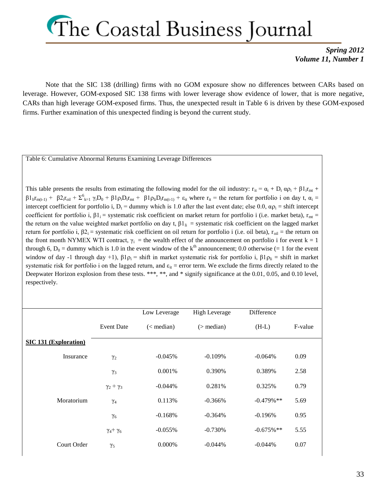*Spring 2012 Volume 11, Number 1*

Note that the SIC 138 (drilling) firms with no GOM exposure show no differences between CARs based on leverage. However, GOM-exposed SIC 138 firms with lower leverage show evidence of lower, that is more negative, CARs than high leverage GOM-exposed firms. Thus, the unexpected result in Table 6 is driven by these GOM-exposed firms. Further examination of this unexpected finding is beyond the current study.

Table 6: Cumulative Abnormal Returns Examining Leverage Differences

This table presents the results from estimating the following model for the oil industry:  $r_{it} = \alpha_i + D_t \alpha \rho_i + \beta l_i r_{mt} +$  $\beta 1_{li}r_{m(t-1)} + \beta 2_{i}r_{oil} + \sum_{k=1}^{6} \gamma_{i}D_{0} + \beta 1\rho_{i}D_{t}r_{mt} + \beta 1\rho_{li}D_{t}r_{m(t-1)} + \varepsilon_{it}$  where  $r_{it}$  = the return for portfolio i on day t,  $\alpha_{i}$  = intercept coefficient for portfolio i,  $D_t =$  dummy which is 1.0 after the last event date; else 0.0,  $\alpha \rho_i =$  shift intercept coefficient for portfolio i,  $\beta l_i$  = systematic risk coefficient on market return for portfolio i (i.e. market beta),  $r_{mt}$  = the return on the value weighted market portfolio on day t,  $\beta_1$ <sub>li</sub> = systematic risk coefficient on the lagged market return for portfolio i,  $β2<sub>i</sub> = systematic risk coefficient on oil return for portfolio i (i.e. oil beta), r<sub>oil</sub> = the return on$ the front month NYMEX WTI contract,  $\gamma_i$  = the wealth effect of the announcement on portfolio i for event k = 1 through 6,  $D_0 =$  dummy which is 1.0 in the event window of the k<sup>th</sup> announcement; 0.0 otherwise (= 1 for the event window of day -1 through day +1),  $\beta_1 \rho_i$  = shift in market systematic risk for portfolio i,  $\beta_1 \rho_{li}$  = shift in market systematic risk for portfolio i on the lagged return, and  $\varepsilon_{it}$  = error term. We exclude the firms directly related to the Deepwater Horizon explosion from these tests. \*\*\*, \*\*, and \* signify significance at the 0.01, 0.05, and 0.10 level, respectively.

|                              |                       | Low Leverage    | High Leverage  | Difference    |         |
|------------------------------|-----------------------|-----------------|----------------|---------------|---------|
|                              | <b>Event Date</b>     | $(<$ median $)$ | $($ median $)$ | $(H-L)$       | F-value |
| <b>SIC 131 (Exploration)</b> |                       |                 |                |               |         |
| Insurance                    | $\gamma_2$            | $-0.045%$       | $-0.109%$      | $-0.064%$     | 0.09    |
|                              | $\gamma_3$            | 0.001%          | 0.390%         | 0.389%        | 2.58    |
|                              | $\gamma_2 + \gamma_3$ | $-0.044%$       | 0.281%         | 0.325%        | 0.79    |
| Moratorium                   | $\gamma_4$            | 0.113%          | $-0.366%$      | $-0.479\%$ ** | 5.69    |
|                              | $\gamma_6$            | $-0.168%$       | $-0.364%$      | $-0.196%$     | 0.95    |
|                              | $\gamma_4 + \gamma_6$ | $-0.055%$       | $-0.730%$      | $-0.675%$ **  | 5.55    |
| Court Order                  | $\gamma_5$            | 0.000%          | $-0.044%$      | $-0.044%$     | 0.07    |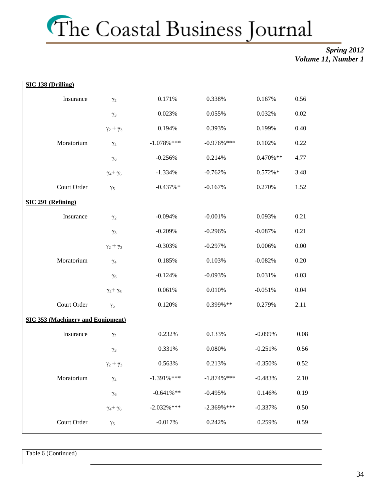### *Spring 2012 Volume 11, Number 1*

| SIC 138 (Drilling)                       |                       |                |                |             |      |  |  |  |
|------------------------------------------|-----------------------|----------------|----------------|-------------|------|--|--|--|
| Insurance                                | $\gamma_2$            | 0.171%         | 0.338%         | 0.167%      | 0.56 |  |  |  |
|                                          | $\gamma_3$            | 0.023%         | 0.055%         | 0.032%      | 0.02 |  |  |  |
|                                          | $\gamma_2 + \gamma_3$ | 0.194%         | 0.393%         | 0.199%      | 0.40 |  |  |  |
| Moratorium                               | $\gamma_4$            | $-1.078%$ ***  | $-0.976\%$ *** | 0.102%      | 0.22 |  |  |  |
|                                          | $\gamma_6$            | $-0.256%$      | 0.214%         | $0.470\%**$ | 4.77 |  |  |  |
|                                          | $\gamma_4 + \gamma_6$ | $-1.334%$      | $-0.762%$      | $0.572\%*$  | 3.48 |  |  |  |
| Court Order                              | $\gamma_5$            | $-0.437\%*$    | $-0.167%$      | 0.270%      | 1.52 |  |  |  |
| SIC 291 (Refining)                       |                       |                |                |             |      |  |  |  |
| Insurance                                | $\gamma_2$            | $-0.094%$      | $-0.001%$      | 0.093%      | 0.21 |  |  |  |
|                                          | $\gamma_3$            | $-0.209%$      | $-0.296%$      | $-0.087%$   | 0.21 |  |  |  |
|                                          | $\gamma_2 + \gamma_3$ | $-0.303%$      | $-0.297%$      | 0.006%      | 0.00 |  |  |  |
| Moratorium                               | $\gamma_4$            | 0.185%         | 0.103%         | $-0.082%$   | 0.20 |  |  |  |
|                                          | $\gamma_6$            | $-0.124%$      | $-0.093%$      | 0.031%      | 0.03 |  |  |  |
|                                          | $\gamma_4 + \gamma_6$ | 0.061%         | 0.010%         | $-0.051%$   | 0.04 |  |  |  |
| Court Order                              | $\gamma_5$            | 0.120%         | 0.399%**       | 0.279%      | 2.11 |  |  |  |
| <b>SIC 353 (Machinery and Equipment)</b> |                       |                |                |             |      |  |  |  |
| Insurance                                | $\gamma_2$            | 0.232%         | 0.133%         | $-0.099%$   | 0.08 |  |  |  |
|                                          | $\gamma_3$            | 0.331%         | 0.080%         | $-0.251%$   | 0.56 |  |  |  |
|                                          | $\gamma_2+\gamma_3$   | 0.563%         | 0.213%         | $-0.350%$   | 0.52 |  |  |  |
| Moratorium                               | $\gamma_4$            | $-1.391\%$ *** | $-1.874%$ ***  | $-0.483%$   | 2.10 |  |  |  |
|                                          | $\gamma_6$            | $-0.641\%$ **  | $-0.495%$      | 0.146%      | 0.19 |  |  |  |
|                                          | $\gamma_4 + \gamma_6$ | $-2.032\%$ *** | $-2.369\%$ *** | $-0.337%$   | 0.50 |  |  |  |
| Court Order                              | $\gamma_5$            | $-0.017%$      | 0.242%         | 0.259%      | 0.59 |  |  |  |

Table 6 (Continued)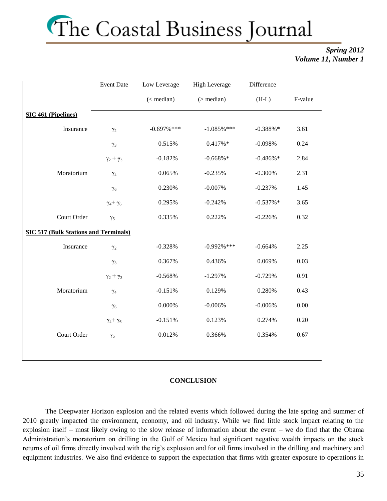### *Spring 2012 Volume 11, Number 1*

| <b>Event Date</b>                            | Low Leverage    | <b>High Leverage</b> | Difference   |         |
|----------------------------------------------|-----------------|----------------------|--------------|---------|
|                                              | $(<$ median $)$ | $($ median $)$       | $(H-L)$      | F-value |
|                                              |                 |                      |              |         |
| $\gamma_2$                                   | $-0.697%$ ***   | $-1.085%$ ***        | $-0.388\%*$  | 3.61    |
| $\gamma_3$                                   | 0.515%          | $0.417\% *$          | $-0.098%$    | 0.24    |
| $\gamma_2 + \gamma_3$                        | $-0.182%$       | $-0.668\%*$          | $-0.486\%$ * | 2.84    |
| $\gamma_4$                                   | 0.065%          | $-0.235%$            | $-0.300%$    | 2.31    |
| $\gamma_6$                                   | 0.230%          | $-0.007%$            | $-0.237%$    | 1.45    |
| $\gamma_4 + \gamma_6$                        | 0.295%          | $-0.242%$            | $-0.537\%$ * | 3.65    |
| $\gamma_5$                                   | 0.335%          | 0.222%               | $-0.226%$    | 0.32    |
| <b>SIC 517 (Bulk Stations and Terminals)</b> |                 |                      |              |         |
| $\gamma_2$                                   | $-0.328%$       | $-0.992\%$ ***       | $-0.664%$    | 2.25    |
| $\gamma_3$                                   | 0.367%          | 0.436%               | 0.069%       | 0.03    |
| $\gamma_2 + \gamma_3$                        | $-0.568%$       | $-1.297%$            | $-0.729%$    | 0.91    |
| $\gamma_4$                                   | $-0.151%$       | 0.129%               | 0.280%       | 0.43    |
| $\gamma_6$                                   | 0.000%          | $-0.006%$            | $-0.006%$    | 0.00    |
| $\gamma_4 + \gamma_6$                        | $-0.151%$       | 0.123%               | 0.274%       | 0.20    |
| $\gamma_5$                                   | 0.012%          | 0.366%               | 0.354%       | 0.67    |
|                                              |                 |                      |              |         |
|                                              |                 |                      |              |         |

#### **CONCLUSION**

The Deepwater Horizon explosion and the related events which followed during the late spring and summer of 2010 greatly impacted the environment, economy, and oil industry. While we find little stock impact relating to the explosion itself – most likely owing to the slow release of information about the event – we do find that the Obama Administration's moratorium on drilling in the Gulf of Mexico had significant negative wealth impacts on the stock returns of oil firms directly involved with the rig's explosion and for oil firms involved in the drilling and machinery and equipment industries. We also find evidence to support the expectation that firms with greater exposure to operations in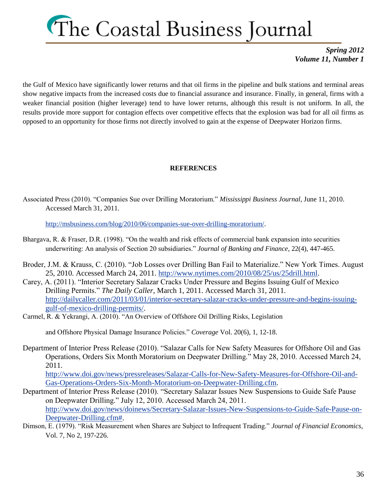*Spring 2012 Volume 11, Number 1*

the Gulf of Mexico have significantly lower returns and that oil firms in the pipeline and bulk stations and terminal areas show negative impacts from the increased costs due to financial assurance and insurance. Finally, in general, firms with a weaker financial position (higher leverage) tend to have lower returns, although this result is not uniform. In all, the results provide more support for contagion effects over competitive effects that the explosion was bad for all oil firms as opposed to an opportunity for those firms not directly involved to gain at the expense of Deepwater Horizon firms.

### **REFERENCES**

Associated Press (2010). "Companies Sue over Drilling Moratorium." *Mississippi Business Journal*, June 11, 2010. Accessed March 31, 2011.

[http://msbusiness.com/blog/2010/06/companies-sue-over-drilling-moratorium/.](http://msbusiness.com/blog/2010/06/companies-sue-over-drilling-moratorium/)

- Bhargava, R. & Fraser, D.R. (1998). "On the wealth and risk effects of commercial bank expansion into securities underwriting: An analysis of Section 20 subsidiaries." *Journal of Banking and Finance*, 22(4), 447-465.
- Broder, J.M. & Krauss, C. (2010). "Job Losses over Drilling Ban Fail to Materialize." New York Times. August 25, 2010. Accessed March 24, 2011. [http://www.nytimes.com/2010/08/25/us/25drill.html.](http://www.nytimes.com/2010/08/25/us/25drill.html)
- Carey, A. (2011). "Interior Secretary Salazar Cracks Under Pressure and Begins Issuing Gulf of Mexico Drilling Permits." *The Daily Caller*, March 1, 2011. Accessed March 31, 2011. [http://dailycaller.com/2011/03/01/interior-secretary-salazar-cracks-under-pressure-and-begins-issuing](http://dailycaller.com/2011/03/01/interior-secretary-salazar-cracks-under-pressure-and-begins-issuing-gulf-of-mexico-drilling-permits/)[gulf-of-mexico-drilling-permits/.](http://dailycaller.com/2011/03/01/interior-secretary-salazar-cracks-under-pressure-and-begins-issuing-gulf-of-mexico-drilling-permits/)
- Carmel, R. & Yekrangi, A. (2010). "An Overview of Offshore Oil Drilling Risks, Legislation

and Offshore Physical Damage Insurance Policies." *Coverage* Vol. 20(6), 1, 12-18.

Department of Interior Press Release (2010). "Salazar Calls for New Safety Measures for Offshore Oil and Gas Operations, Orders Six Month Moratorium on Deepwater Drilling." May 28, 2010. Accessed March 24, 2011.

[http://www.doi.gov/news/pressreleases/Salazar-Calls-for-New-Safety-Measures-for-Offshore-Oil-and-](http://www.doi.gov/news/pressreleases/Salazar-Calls-for-New-Safety-Measures-for-Offshore-Oil-and-Gas-Operations-Orders-Six-Month-Moratorium-on-Deepwater-Drilling.cfm)[Gas-Operations-Orders-Six-Month-Moratorium-on-Deepwater-Drilling.cfm.](http://www.doi.gov/news/pressreleases/Salazar-Calls-for-New-Safety-Measures-for-Offshore-Oil-and-Gas-Operations-Orders-Six-Month-Moratorium-on-Deepwater-Drilling.cfm)

- Department of Interior Press Release (2010). "Secretary Salazar Issues New Suspensions to Guide Safe Pause on Deepwater Drilling." July 12, 2010. Accessed March 24, 2011. [http://www.doi.gov/news/doinews/Secretary-Salazar-Issues-New-Suspensions-to-Guide-Safe-Pause-on-](http://www.doi.gov/news/doinews/Secretary-Salazar-Issues-New-Suspensions-to-Guide-Safe-Pause-on-Deepwater-Drilling.cfm)[Deepwater-Drilling.cfm#.](http://www.doi.gov/news/doinews/Secretary-Salazar-Issues-New-Suspensions-to-Guide-Safe-Pause-on-Deepwater-Drilling.cfm)
- Dimson, E. (1979). "Risk Measurement when Shares are Subject to Infrequent Trading." *Journal of Financial Economics*, Vol. 7, No 2, 197-226.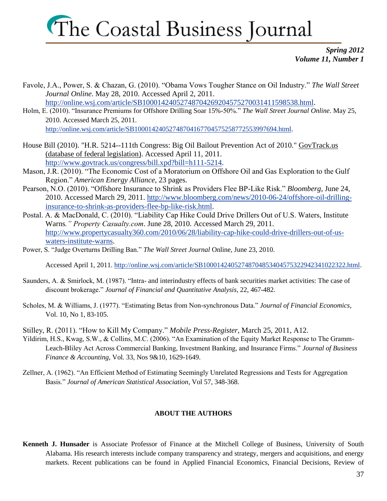*Spring 2012 Volume 11, Number 1*

- Favole, J.A., Power, S. & Chazan, G. (2010). "Obama Vows Tougher Stance on Oil Industry." *The Wall Street Journal Online*. May 28, 2010. Accessed April 2, 2011. [http://online.wsj.com/article/SB10001424052748704269204575270031411598538.html.](http://online.wsj.com/article/SB10001424052748704269204575270031411598538.html)
- Holm, E. (2010). "Insurance Premiums for Offshore Drilling Soar 15%-50%." *The Wall Street Journal Online*. May 25, 2010. Accessed March 25, 2011.

[http://online.wsj.com/article/SB10001424052748704167704575258772553997694.html.](http://online.wsj.com/article/SB10001424052748704167704575258772553997694.html)

- House Bill (2010). "H.R. 5214--111th Congress: Big Oil Bailout Prevention Act of 2010." GovTrack.us (database of federal legislation). Accessed April 11, 2011. [http://www.govtrack.us/congress/bill.xpd?bill=h111-5214.](http://www.govtrack.us/congress/bill.xpd?bill=h111-5214)
- Mason, J.R. (2010). "The Economic Cost of a Moratorium on Offshore Oil and Gas Exploration to the Gulf Region." *American Energy Alliance*, 23 pages.
- Pearson, N.O. (2010). "Offshore Insurance to Shrink as Providers Flee BP-Like Risk." *Bloomberg*, June 24, 2010. Accessed March 29, 2011. [http://www.bloomberg.com/news/2010-06-24/offshore-oil-drilling](http://www.bloomberg.com/news/2010-06-24/offshore-oil-drilling-insurance-to-shrink-as-providers-flee-bp-like-risk.html)[insurance-to-shrink-as-providers-flee-bp-like-risk.html.](http://www.bloomberg.com/news/2010-06-24/offshore-oil-drilling-insurance-to-shrink-as-providers-flee-bp-like-risk.html)
- Postal. A. & MacDonald, C. (2010). "Liability Cap Hike Could Drive Drillers Out of U.S. Waters, Institute Warns*." Property Casualty.com*. June 28, 2010. Accessed March 29, 2011. [http://www.propertycasualty360.com/2010/06/28/liability-cap-hike-could-drive-drillers-out-of-us](http://www.propertycasualty360.com/2010/06/28/liability-cap-hike-could-drive-drillers-out-of-us-waters-institute-warns)[waters-institute-warns.](http://www.propertycasualty360.com/2010/06/28/liability-cap-hike-could-drive-drillers-out-of-us-waters-institute-warns)
- Power, S. "Judge Overturns Drilling Ban." *The Wall Street Journal* Online, June 23, 2010.

Accessed April 1, 2011[. http://online.wsj.com/article/SB10001424052748704853404575322942341022322.html.](http://online.wsj.com/article/SB10001424052748704853404575322942341022322.html)

- Saunders, A. & Smirlock, M. (1987). "Intra- and interindustry effects of bank securities market activities: The case of discount brokerage." *Journal of Financial and Quantitative Analysis*, 22, 467-482.
- Scholes, M. & Williams, J. (1977). "Estimating Betas from Non-synchronous Data." *Journal of Financial Economics*, Vol. 10, No 1, 83-105.
- Stilley, R. (2011). "How to Kill My Company." *Mobile Press-Register*, March 25, 2011, A12.
- Yildirim, H.S., Kwag, S.W., & Collins, M.C. (2006). "An Examination of the Equity Market Response to The Gramm-Leach-Bliley Act Across Commercial Banking, Investment Banking, and Insurance Firms." *Journal of Business Finance & Accounting*, Vol. 33, Nos 9&10, 1629-1649.
- Zellner, A. (1962). "An Efficient Method of Estimating Seemingly Unrelated Regressions and Tests for Aggregation Basis." *Journal of American Statistical Association*, Vol 57, 348-368.

#### **ABOUT THE AUTHORS**

**Kenneth J. Hunsader** is Associate Professor of Finance at the Mitchell College of Business, University of South Alabama. His research interests include company transparency and strategy, mergers and acquisitions, and energy markets. Recent publications can be found in Applied Financial Economics, Financial Decisions, Review of